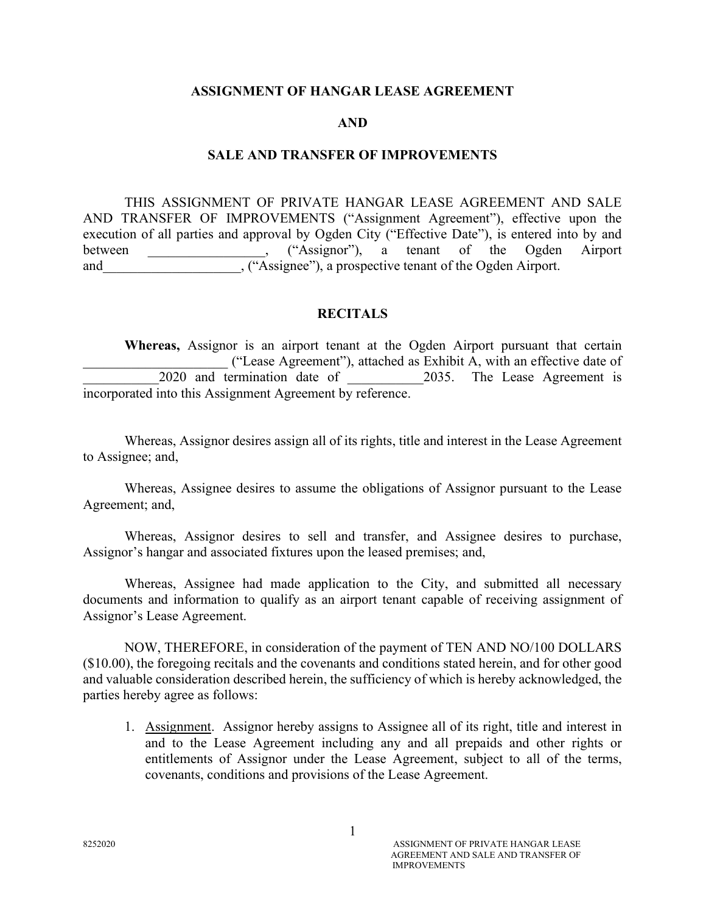### ASSIGNMENT OF HANGAR LEASE AGREEMENT

#### AND

## SALE AND TRANSFER OF IMPROVEMENTS

THIS ASSIGNMENT OF PRIVATE HANGAR LEASE AGREEMENT AND SALE AND TRANSFER OF IMPROVEMENTS ("Assignment Agreement"), effective upon the execution of all parties and approval by Ogden City ("Effective Date"), is entered into by and between . ("Assignor"), a tenant of the Ogden Airport and  $($  "Assignee"), a prospective tenant of the Ogden Airport.

## **RECITALS**

 Whereas, Assignor is an airport tenant at the Ogden Airport pursuant that certain \_\_\_\_\_\_\_\_\_\_\_\_\_\_\_\_\_\_\_\_\_ ("Lease Agreement"), attached as Exhibit A, with an effective date of 2020 and termination date of 2035. The Lease Agreement is incorporated into this Assignment Agreement by reference.

 Whereas, Assignor desires assign all of its rights, title and interest in the Lease Agreement to Assignee; and,

 Whereas, Assignee desires to assume the obligations of Assignor pursuant to the Lease Agreement; and,

 Whereas, Assignor desires to sell and transfer, and Assignee desires to purchase, Assignor's hangar and associated fixtures upon the leased premises; and,

 Whereas, Assignee had made application to the City, and submitted all necessary documents and information to qualify as an airport tenant capable of receiving assignment of Assignor's Lease Agreement.

NOW, THEREFORE, in consideration of the payment of TEN AND NO/100 DOLLARS (\$10.00), the foregoing recitals and the covenants and conditions stated herein, and for other good and valuable consideration described herein, the sufficiency of which is hereby acknowledged, the parties hereby agree as follows:

1. Assignment. Assignor hereby assigns to Assignee all of its right, title and interest in and to the Lease Agreement including any and all prepaids and other rights or entitlements of Assignor under the Lease Agreement, subject to all of the terms, covenants, conditions and provisions of the Lease Agreement.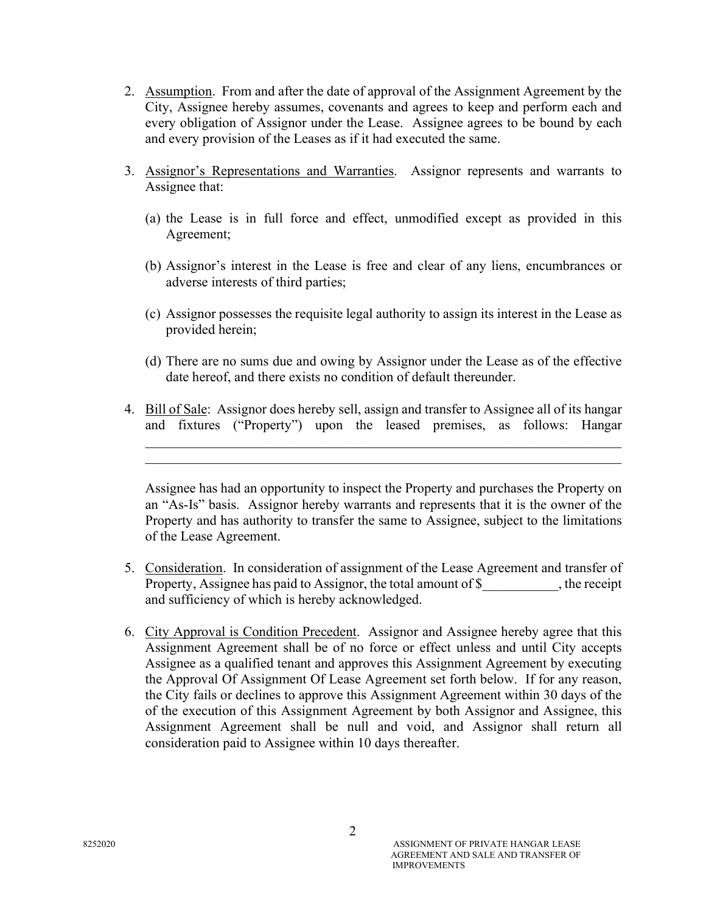- 2. Assumption. From and after the date of approval of the Assignment Agreement by the City, Assignee hereby assumes, covenants and agrees to keep and perform each and every obligation of Assignor under the Lease. Assignee agrees to be bound by each and every provision of the Leases as if it had executed the same.
- 3. Assignor's Representations and Warranties. Assignor represents and warrants to Assignee that:
	- (a) the Lease is in full force and effect, unmodified except as provided in this Agreement;
	- (b) Assignor's interest in the Lease is free and clear of any liens, encumbrances or adverse interests of third parties;
	- (c) Assignor possesses the requisite legal authority to assign its interest in the Lease as provided herein;
	- (d) There are no sums due and owing by Assignor under the Lease as of the effective date hereof, and there exists no condition of default thereunder.
- 4. Bill of Sale: Assignor does hereby sell, assign and transfer to Assignee all of its hangar and fixtures ("Property") upon the leased premises, as follows: Hangar

Assignee has had an opportunity to inspect the Property and purchases the Property on an "As-Is" basis. Assignor hereby warrants and represents that it is the owner of the Property and has authority to transfer the same to Assignee, subject to the limitations of the Lease Agreement.

- 5. Consideration. In consideration of assignment of the Lease Agreement and transfer of Property, Assignee has paid to Assignor, the total amount of \$ , the receipt and sufficiency of which is hereby acknowledged.
- 6. City Approval is Condition Precedent. Assignor and Assignee hereby agree that this Assignment Agreement shall be of no force or effect unless and until City accepts Assignee as a qualified tenant and approves this Assignment Agreement by executing the Approval Of Assignment Of Lease Agreement set forth below. If for any reason, the City fails or declines to approve this Assignment Agreement within 30 days of the of the execution of this Assignment Agreement by both Assignor and Assignee, this Assignment Agreement shall be null and void, and Assignor shall return all consideration paid to Assignee within 10 days thereafter.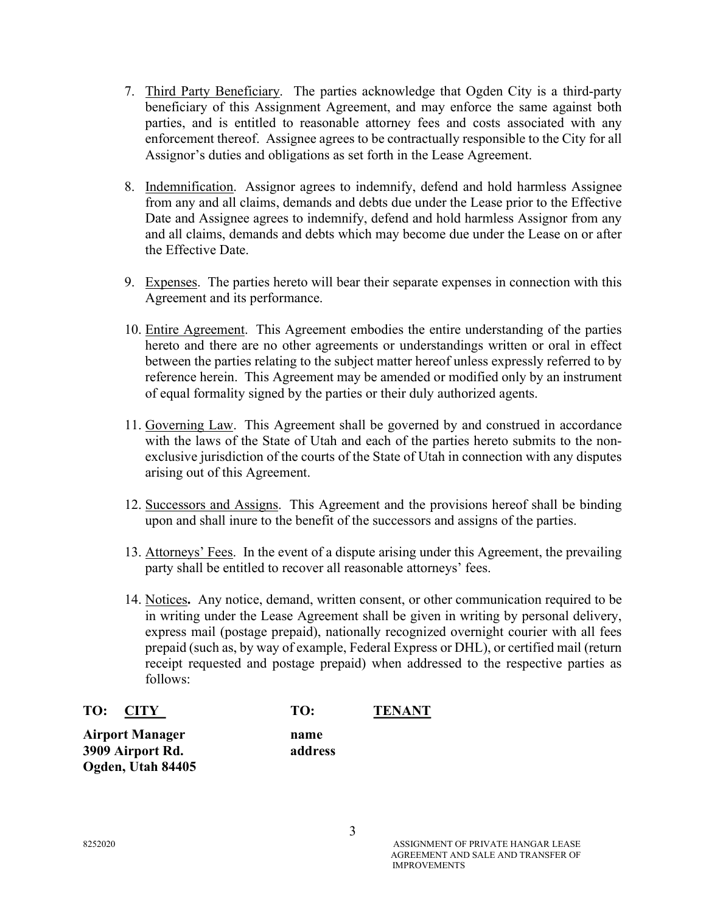- 7. Third Party Beneficiary. The parties acknowledge that Ogden City is a third-party beneficiary of this Assignment Agreement, and may enforce the same against both parties, and is entitled to reasonable attorney fees and costs associated with any enforcement thereof. Assignee agrees to be contractually responsible to the City for all Assignor's duties and obligations as set forth in the Lease Agreement.
- 8. Indemnification. Assignor agrees to indemnify, defend and hold harmless Assignee from any and all claims, demands and debts due under the Lease prior to the Effective Date and Assignee agrees to indemnify, defend and hold harmless Assignor from any and all claims, demands and debts which may become due under the Lease on or after the Effective Date.
- 9. Expenses. The parties hereto will bear their separate expenses in connection with this Agreement and its performance.
- 10. Entire Agreement. This Agreement embodies the entire understanding of the parties hereto and there are no other agreements or understandings written or oral in effect between the parties relating to the subject matter hereof unless expressly referred to by reference herein. This Agreement may be amended or modified only by an instrument of equal formality signed by the parties or their duly authorized agents.
- 11. Governing Law. This Agreement shall be governed by and construed in accordance with the laws of the State of Utah and each of the parties hereto submits to the nonexclusive jurisdiction of the courts of the State of Utah in connection with any disputes arising out of this Agreement.
- 12. Successors and Assigns. This Agreement and the provisions hereof shall be binding upon and shall inure to the benefit of the successors and assigns of the parties.
- 13. Attorneys' Fees. In the event of a dispute arising under this Agreement, the prevailing party shall be entitled to recover all reasonable attorneys' fees.
- 14. Notices. Any notice, demand, written consent, or other communication required to be in writing under the Lease Agreement shall be given in writing by personal delivery, express mail (postage prepaid), nationally recognized overnight courier with all fees prepaid (such as, by way of example, Federal Express or DHL), or certified mail (return receipt requested and postage prepaid) when addressed to the respective parties as follows:

| TO: CITY                                                        | TO:             | <b>TENANT</b> |
|-----------------------------------------------------------------|-----------------|---------------|
| <b>Airport Manager</b><br>3909 Airport Rd.<br>Ogden, Utah 84405 | name<br>address |               |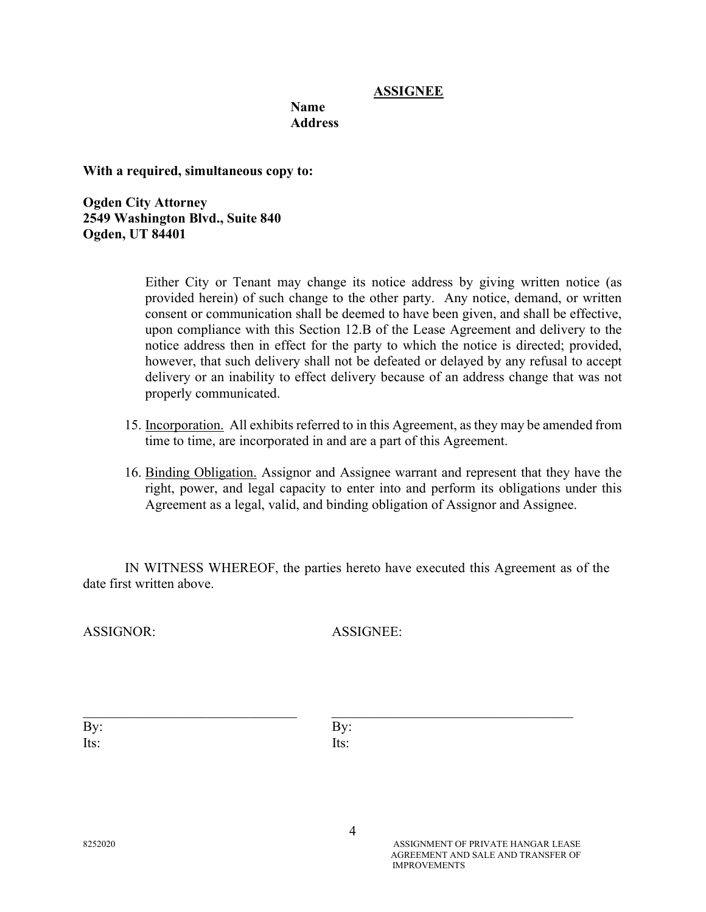# ASSIGNEE

#### Name **Address**

With a required, simultaneous copy to:

Ogden City Attorney 2549 Washington Blvd., Suite 840 Ogden, UT 84401

> Either City or Tenant may change its notice address by giving written notice (as provided herein) of such change to the other party. Any notice, demand, or written consent or communication shall be deemed to have been given, and shall be effective, upon compliance with this Section 12.B of the Lease Agreement and delivery to the notice address then in effect for the party to which the notice is directed; provided, however, that such delivery shall not be defeated or delayed by any refusal to accept delivery or an inability to effect delivery because of an address change that was not properly communicated.

- 15. Incorporation. All exhibits referred to in this Agreement, as they may be amended from time to time, are incorporated in and are a part of this Agreement.
- 16. Binding Obligation. Assignor and Assignee warrant and represent that they have the right, power, and legal capacity to enter into and perform its obligations under this Agreement as a legal, valid, and binding obligation of Assignor and Assignee.

IN WITNESS WHEREOF, the parties hereto have executed this Agreement as of the date first written above.

ASSIGNOR: ASSIGNEE:

| By:  | By:  |
|------|------|
| Its: | Its: |

 $\_$  , and the set of the set of the set of the set of the set of the set of the set of the set of the set of the set of the set of the set of the set of the set of the set of the set of the set of the set of the set of th

4